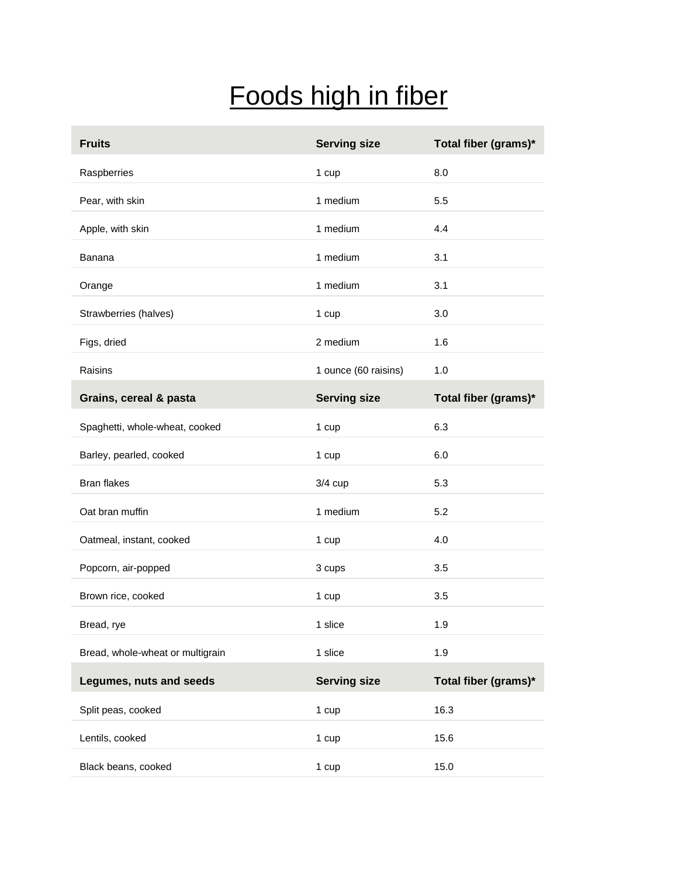## Foods high in fiber

| <b>Fruits</b>                    | <b>Serving size</b>  | Total fiber (grams)* |
|----------------------------------|----------------------|----------------------|
| Raspberries                      | 1 cup                | 8.0                  |
| Pear, with skin                  | 1 medium             | 5.5                  |
| Apple, with skin                 | 1 medium             | 4.4                  |
| Banana                           | 1 medium             | 3.1                  |
| Orange                           | 1 medium             | 3.1                  |
| Strawberries (halves)            | 1 cup                | 3.0                  |
| Figs, dried                      | 2 medium             | 1.6                  |
| Raisins                          | 1 ounce (60 raisins) | 1.0                  |
| Grains, cereal & pasta           | <b>Serving size</b>  | Total fiber (grams)* |
| Spaghetti, whole-wheat, cooked   | 1 cup                | 6.3                  |
| Barley, pearled, cooked          | 1 cup                | 6.0                  |
| <b>Bran flakes</b>               | $3/4$ cup            | 5.3                  |
| Oat bran muffin                  | 1 medium             | 5.2                  |
| Oatmeal, instant, cooked         | 1 cup                | 4.0                  |
| Popcorn, air-popped              | 3 cups               | 3.5                  |
| Brown rice, cooked               | 1 cup                | 3.5                  |
| Bread, rye                       | 1 slice              | 1.9                  |
| Bread, whole-wheat or multigrain | 1 slice              | 1.9                  |
| Legumes, nuts and seeds          | <b>Serving size</b>  | Total fiber (grams)* |
| Split peas, cooked               | 1 cup                | 16.3                 |
| Lentils, cooked                  | 1 cup                | 15.6                 |
| Black beans, cooked              | 1 cup                | 15.0                 |